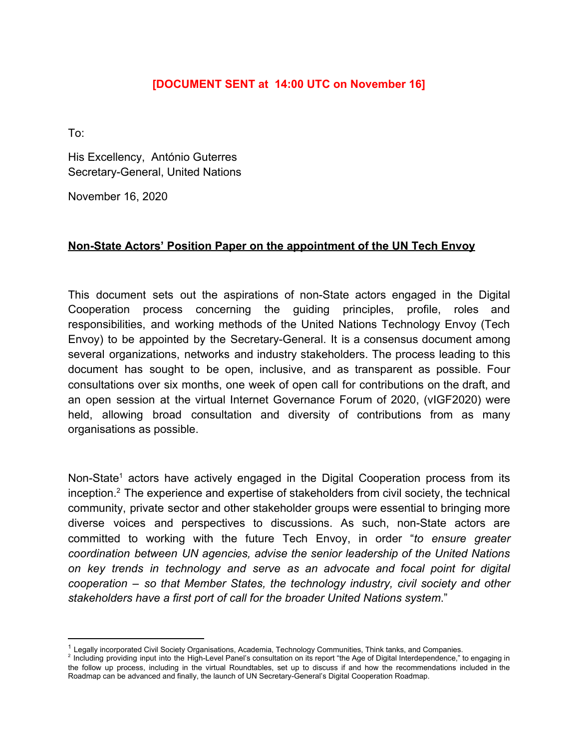### [DOCUMENT SENT at 14:00 UTC on November 16]

 $To:$ 

His Excellency, António Guterres Secretary-General, United Nations

November 16, 2020

### Non-State Actors' Position Paper on the appointment of the UN Tech Envoy

This document sets out the aspirations of non-State actors engaged in the Digital Cooperation process concerning the guiding principles, profile, roles and responsibilities, and working methods of the United Nations Technology Envoy (Tech Envoy) to be appointed by the Secretary-General. It is a consensus document among several organizations, networks and industry stakeholders. The process leading to this document has sought to be open, inclusive, and as transparent as possible. Four consultations over six months, one week of open call for contributions on the draft, and an open session at the virtual Internet Governance Forum of 2020, (vIGF2020) were held, allowing broad consultation and diversity of contributions from as many organisations as possible.

Non-State<sup>1</sup> actors have actively engaged in the Digital Cooperation process from its inception.<sup>2</sup> The experience and expertise of stakeholders from civil society, the technical community, private sector and other stakeholder groups were essential to bringing more diverse voices and perspectives to discussions. As such, non-State actors are committed to working with the future Tech Envoy, in order "to ensure greater coordination between UN agencies, advise the senior leadership of the United Nations on key trends in technology and serve as an advocate and focal point for digital cooperation – so that Member States, the technology industry, civil society and other stakeholders have a first port of call for the broader United Nations system."

<sup>&</sup>lt;sup>1</sup> Legally incorporated Civil Society Organisations, Academia, Technology Communities, Think tanks, and Companies.

<sup>2</sup> Logicity interpretate the Unit of the High-Level Panel's consultation on its report "the Age of Digital Interdependence," to engaging in the follow up process, including in the virtual Roundtables, set up to discuss if and how the recommendations included in the Roadmap can be advanced and finally, the launch of UN Secretary-General's Digital Cooperation Roadmap.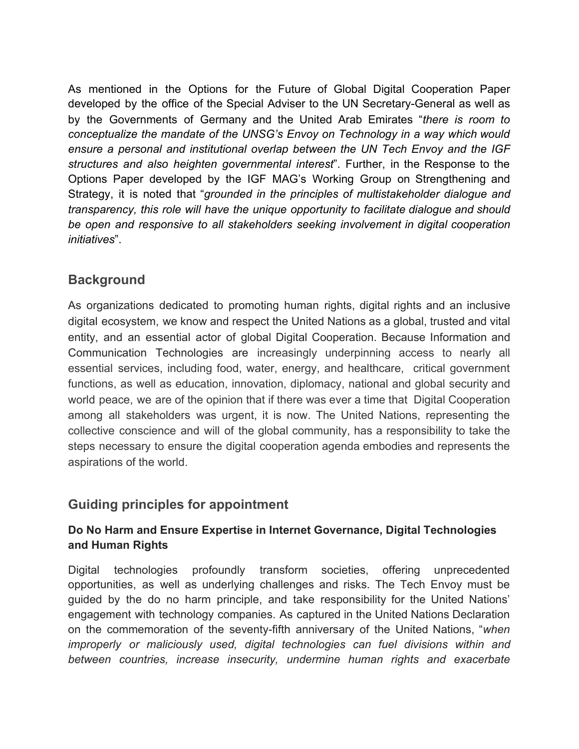As mentioned in the Options for the Future of Global Digital Cooperation Paper developed by the office of the Special Adviser to the UN Secretary-General as well as by the Governments of Germany and the United Arab Emirates "there is room to conceptualize the mandate of the UNSG's Envoy on Technology in a way which would ensure a personal and institutional overlap between the UN Tech Envoy and the IGF structures and also heighten governmental interest". Further, in the Response to the Options Paper developed by the IGF MAG's Working Group on Strengthening and Strategy, it is noted that "grounded in the principles of multistakeholder dialogue and transparency, this role will have the unique opportunity to facilitate dialogue and should be open and responsive to all stakeholders seeking involvement in digital cooperation initiatives".

## **Background**

As organizations dedicated to promoting human rights, digital rights and an inclusive digital ecosystem, we know and respect the United Nations as a global, trusted and vital entity, and an essential actor of global Digital Cooperation. Because Information and Communication Technologies are increasingly underpinning access to nearly all essential services, including food, water, energy, and healthcare, critical government functions, as well as education, innovation, diplomacy, national and global security and world peace, we are of the opinion that if there was ever a time that Digital Cooperation among all stakeholders was urgent, it is now. The United Nations, representing the collective conscience and will of the global community, has a responsibility to take the steps necessary to ensure the digital cooperation agenda embodies and represents the aspirations of the world.

## Guiding principles for appointment

## Do No Harm and Ensure Expertise in Internet Governance, Digital Technologies and Human Rights

technologies profoundly transform societies, offering Digital unprecedented opportunities, as well as underlying challenges and risks. The Tech Envoy must be quided by the do no harm principle, and take responsibility for the United Nations' engagement with technology companies. As captured in the United Nations Declaration on the commemoration of the seventy-fifth anniversary of the United Nations, "when improperly or maliciously used, digital technologies can fuel divisions within and between countries, increase insecurity, undermine human rights and exacerbate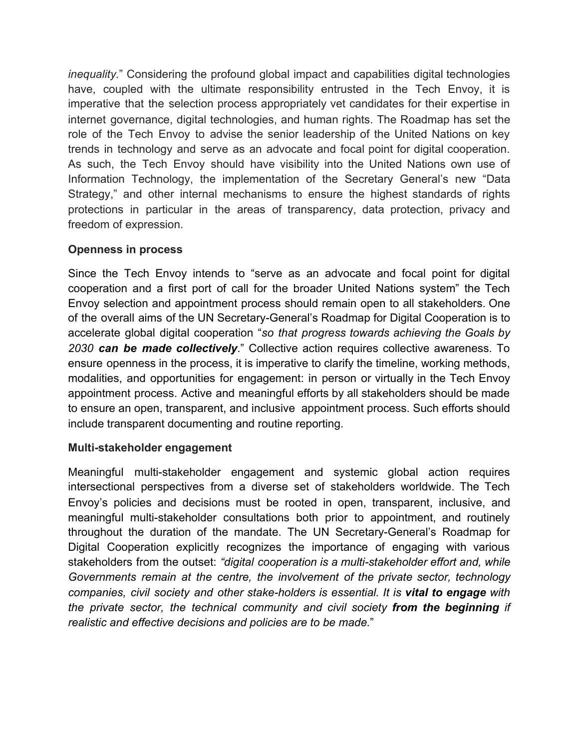*inequality.*" Considering the profound global impact and capabilities digital technologies have, coupled with the ultimate responsibility entrusted in the Tech Envoy, it is imperative that the selection process appropriately vet candidates for their expertise in internet governance, digital technologies, and human rights. The Roadmap has set the role of the Tech Envoy to advise the senior leadership of the United Nations on key trends in technology and serve as an advocate and focal point for digital cooperation. As such, the Tech Envoy should have visibility into the United Nations own use of Information Technology, the implementation of the Secretary General's new "Data Strategy," and other internal mechanisms to ensure the highest standards of rights protections in particular in the areas of transparency, data protection, privacy and freedom of expression.

### **Openness in process**

Since the Tech Envoy intends to "serve as an advocate and focal point for digital cooperation and a first port of call for the broader United Nations system" the Tech Envoy selection and appointment process should remain open to all stakeholders. One of the overall aims of the UN Secretary-General's Roadmap for Digital Cooperation is to accelerate global digital cooperation "so that progress towards achieving the Goals by 2030 can be made collectively." Collective action requires collective awareness. To ensure openness in the process, it is imperative to clarify the timeline, working methods, modalities, and opportunities for engagement: in person or virtually in the Tech Envoy appointment process. Active and meaningful efforts by all stakeholders should be made to ensure an open, transparent, and inclusive appointment process. Such efforts should include transparent documenting and routine reporting.

#### Multi-stakeholder engagement

Meaningful multi-stakeholder engagement and systemic global action requires intersectional perspectives from a diverse set of stakeholders worldwide. The Tech Envoy's policies and decisions must be rooted in open, transparent, inclusive, and meaningful multi-stakeholder consultations both prior to appointment, and routinely throughout the duration of the mandate. The UN Secretary-General's Roadmap for Digital Cooperation explicitly recognizes the importance of engaging with various stakeholders from the outset: "digital cooperation is a multi-stakeholder effort and, while Governments remain at the centre, the involvement of the private sector, technology companies, civil society and other stake-holders is essential. It is vital to engage with the private sector, the technical community and civil society from the beginning if realistic and effective decisions and policies are to be made."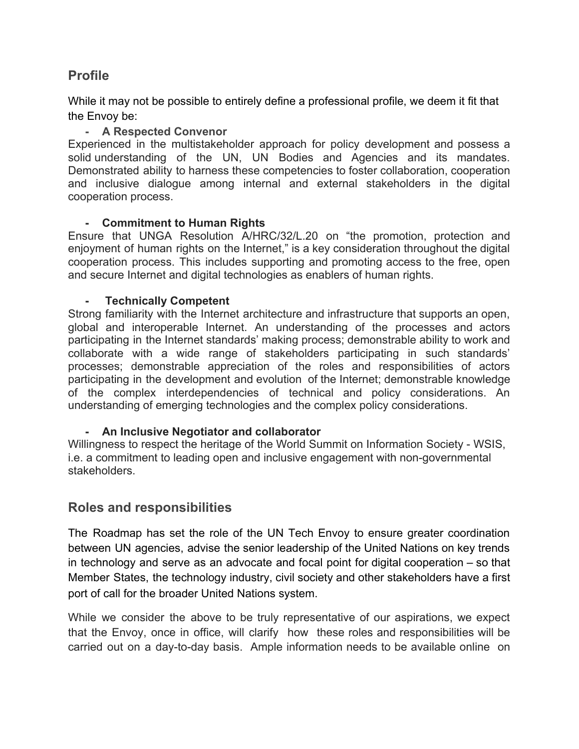## **Profile**

While it may not be possible to entirely define a professional profile, we deem it fit that the Envoy be:

#### - A Respected Convenor

Experienced in the multistakeholder approach for policy development and possess a solid understanding of the UN, UN Bodies and Agencies and its mandates. Demonstrated ability to harness these competencies to foster collaboration, cooperation and inclusive dialogue among internal and external stakeholders in the digital cooperation process.

#### - Commitment to Human Rights

Ensure that UNGA Resolution A/HRC/32/L.20 on "the promotion, protection and enjoyment of human rights on the Internet," is a key consideration throughout the digital cooperation process. This includes supporting and promoting access to the free, open and secure Internet and digital technologies as enablers of human rights.

#### a. **Technically Competent**

Strong familiarity with the Internet architecture and infrastructure that supports an open, global and interoperable Internet. An understanding of the processes and actors participating in the Internet standards' making process; demonstrable ability to work and collaborate with a wide range of stakeholders participating in such standards' processes; demonstrable appreciation of the roles and responsibilities of actors participating in the development and evolution of the Internet; demonstrable knowledge of the complex interdependencies of technical and policy considerations. An understanding of emerging technologies and the complex policy considerations.

### - An Inclusive Negotiator and collaborator

Willingness to respect the heritage of the World Summit on Information Society - WSIS, i.e. a commitment to leading open and inclusive engagement with non-governmental stakeholders.

## **Roles and responsibilities**

The Roadmap has set the role of the UN Tech Envoy to ensure greater coordination between UN agencies, advise the senior leadership of the United Nations on key trends in technology and serve as an advocate and focal point for digital cooperation  $-$  so that Member States, the technology industry, civil society and other stakeholders have a first port of call for the broader United Nations system.

While we consider the above to be truly representative of our aspirations, we expect that the Envoy, once in office, will clarify how these roles and responsibilities will be carried out on a day-to-day basis. Ample information needs to be available online on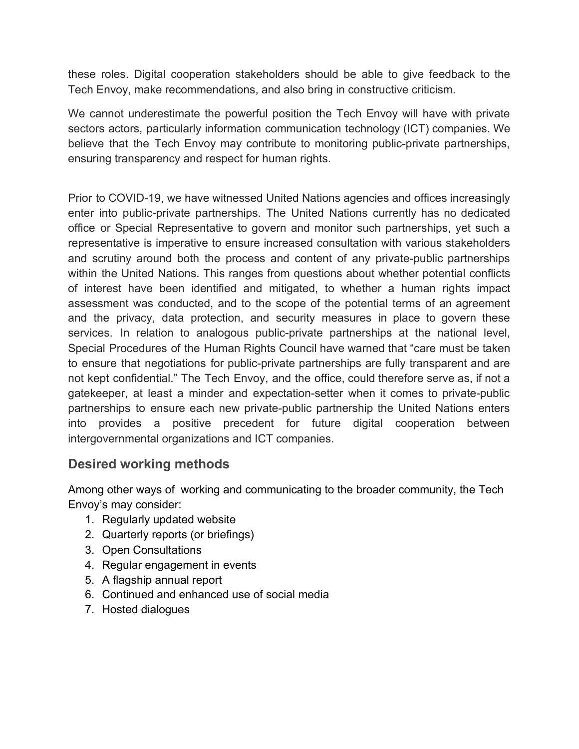these roles. Digital cooperation stakeholders should be able to give feedback to the Tech Envoy, make recommendations, and also bring in constructive criticism.

We cannot underestimate the powerful position the Tech Envoy will have with private sectors actors, particularly information communication technology (ICT) companies. We believe that the Tech Envoy may contribute to monitoring public-private partnerships, ensuring transparency and respect for human rights.

Prior to COVID-19, we have witnessed United Nations agencies and offices increasingly enter into public-private partnerships. The United Nations currently has no dedicated office or Special Representative to govern and monitor such partnerships, yet such a representative is imperative to ensure increased consultation with various stakeholders and scrutiny around both the process and content of any private-public partnerships within the United Nations. This ranges from questions about whether potential conflicts of interest have been identified and mitigated, to whether a human rights impact assessment was conducted, and to the scope of the potential terms of an agreement and the privacy, data protection, and security measures in place to govern these services. In relation to analogous public-private partnerships at the national level, Special Procedures of the Human Rights Council have warned that "care must be taken" to ensure that negotiations for public-private partnerships are fully transparent and are not kept confidential." The Tech Envoy, and the office, could therefore serve as, if not a gatekeeper, at least a minder and expectation-setter when it comes to private-public partnerships to ensure each new private-public partnership the United Nations enters into provides a positive precedent for future digital cooperation between intergovernmental organizations and ICT companies.

# **Desired working methods**

Among other ways of working and communicating to the broader community, the Tech Envoy's may consider:

- 1. Regularly updated website
- 2. Quarterly reports (or briefings)
- 3. Open Consultations
- 4. Regular engagement in events
- 5. A flagship annual report
- 6. Continued and enhanced use of social media
- 7. Hosted dialogues